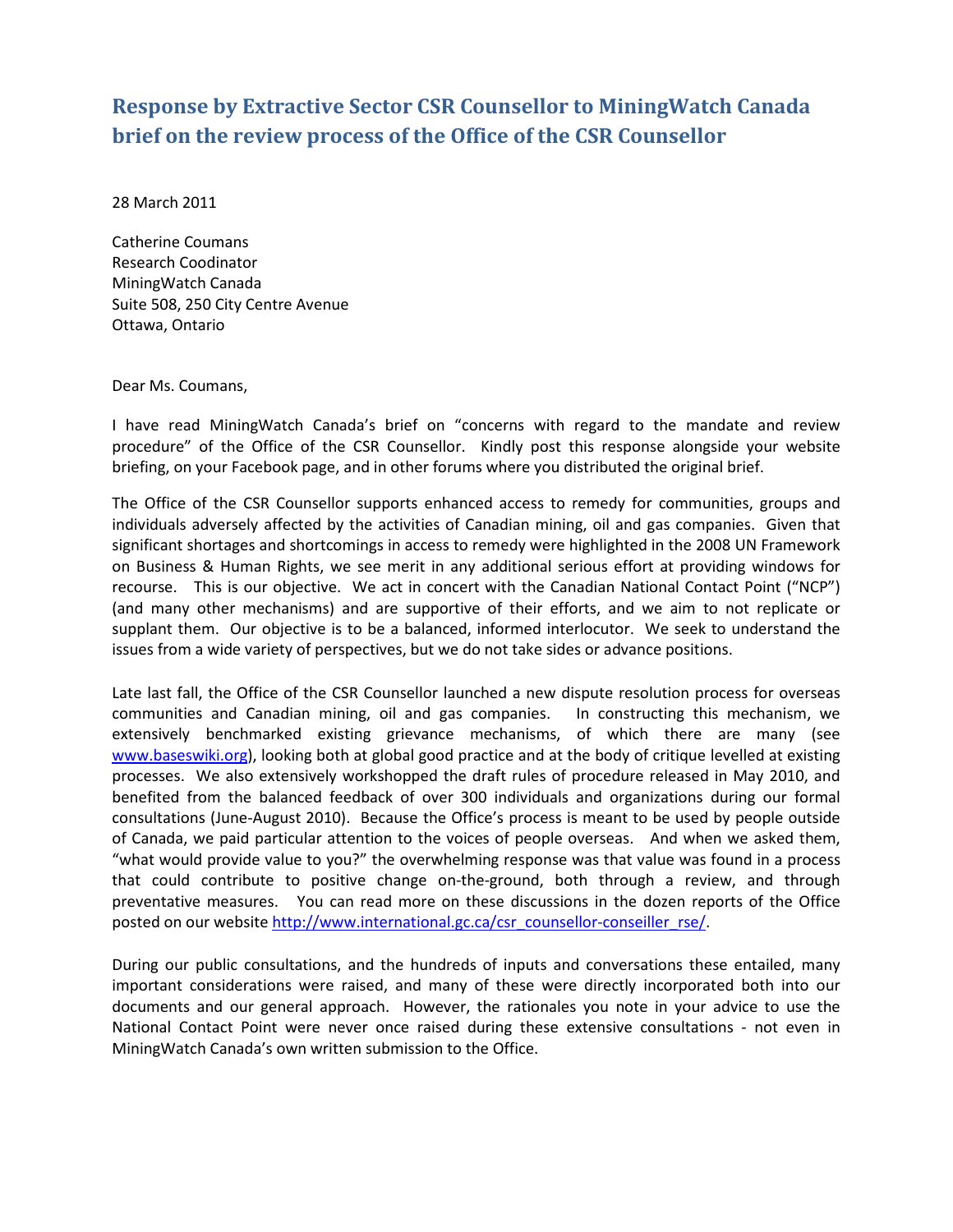## **Response by Extractive Sector CSR Counsellor to MiningWatch Canada brief on the review process of the Office of the CSR Counsellor**

28 March 2011

Catherine Coumans Research Coodinator MiningWatch Canada Suite 508, 250 City Centre Avenue Ottawa, Ontario

## Dear Ms. Coumans,

I have read MiningWatch Canada's brief on "concerns with regard to the mandate and review procedure" of the Office of the CSR Counsellor. Kindly post this response alongside your website briefing, on your Facebook page, and in other forums where you distributed the original brief.

The Office of the CSR Counsellor supports enhanced access to remedy for communities, groups and individuals adversely affected by the activities of Canadian mining, oil and gas companies. Given that significant shortages and shortcomings in access to remedy were highlighted in the 2008 UN Framework on Business & Human Rights, we see merit in any additional serious effort at providing windows for recourse. This is our objective. We act in concert with the Canadian National Contact Point ("NCP") (and many other mechanisms) and are supportive of their efforts, and we aim to not replicate or supplant them. Our objective is to be a balanced, informed interlocutor. We seek to understand the issues from a wide variety of perspectives, but we do not take sides or advance positions.

Late last fall, the Office of the CSR Counsellor launched a new dispute resolution process for overseas communities and Canadian mining, oil and gas companies. In constructing this mechanism, we extensively benchmarked existing grievance mechanisms, of which there are many (see www.baseswiki.org), looking both at global good practice and at the body of critique levelled at existing processes. We also extensively workshopped the draft rules of procedure released in May 2010, and benefited from the balanced feedback of over 300 individuals and organizations during our formal consultations (June-August 2010). Because the Office's process is meant to be used by people outside of Canada, we paid particular attention to the voices of people overseas. And when we asked them, "what would provide value to you?" the overwhelming response was that value was found in a process that could contribute to positive change on-the-ground, both through a review, and through preventative measures. You can read more on these discussions in the dozen reports of the Office posted on our website http://www.international.gc.ca/csr\_counsellor-conseiller\_rse/.

During our public consultations, and the hundreds of inputs and conversations these entailed, many important considerations were raised, and many of these were directly incorporated both into our documents and our general approach. However, the rationales you note in your advice to use the National Contact Point were never once raised during these extensive consultations - not even in MiningWatch Canada's own written submission to the Office.